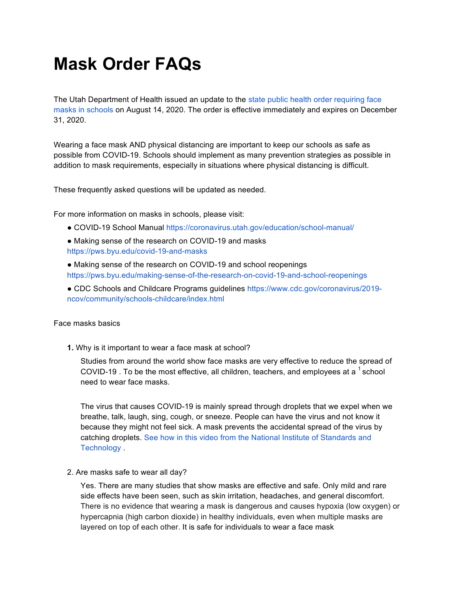# **Mask Order FAQs**

The Utah Department of Health issued an update to the state public health order requiring face masks in schools on August 14, 2020. The order is effective immediately and expires on December 31, 2020.

Wearing a face mask AND physical distancing are important to keep our schools as safe as possible from COVID-19. Schools should implement as many prevention strategies as possible in addition to mask requirements, especially in situations where physical distancing is difficult.

These frequently asked questions will be updated as needed.

For more information on masks in schools, please visit:

- COVID-19 School Manual https://coronavirus.utah.gov/education/school-manual/
- Making sense of the research on COVID-19 and masks https://pws.byu.edu/covid-19-and-masks
- Making sense of the research on COVID-19 and school reopenings https://pws.byu.edu/making-sense-of-the-research-on-covid-19-and-school-reopenings
- CDC Schools and Childcare Programs guidelines https://www.cdc.gov/coronavirus/2019 ncov/community/schools-childcare/index.html

## Face masks basics

**1.** Why is it important to wear a face mask at school?

Studies from around the world show face masks are very effective to reduce the spread of COVID-19 . To be the most effective, all children, teachers, and employees at a  $^1$  school need to wear face masks.

The virus that causes COVID-19 is mainly spread through droplets that we expel when we breathe, talk, laugh, sing, cough, or sneeze. People can have the virus and not know it because they might not feel sick. A mask prevents the accidental spread of the virus by catching droplets. See how in this video from the National Institute of Standards and Technology .

## 2. Are masks safe to wear all day?

Yes. There are many studies that show masks are effective and safe. Only mild and rare side effects have been seen, such as skin irritation, headaches, and general discomfort. There is no evidence that wearing a mask is dangerous and causes hypoxia (low oxygen) or hypercapnia (high carbon dioxide) in healthy individuals, even when multiple masks are layered on top of each other. It is safe for individuals to wear a face mask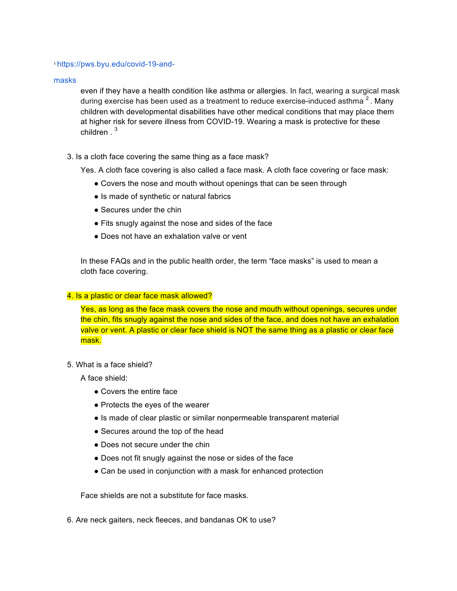## 1 https://pws.byu.edu/covid-19-and-

masks

even if they have a health condition like asthma or allergies. In fact, wearing a surgical mask during exercise has been used as a treatment to reduce exercise-induced asthma<sup>2</sup>. Many children with developmental disabilities have other medical conditions that may place them at higher risk for severe illness from COVID-19. Wearing a mask is protective for these children . <sup>3</sup>

3. Is a cloth face covering the same thing as a face mask?

Yes. A cloth face covering is also called a face mask. A cloth face covering or face mask:

- Covers the nose and mouth without openings that can be seen through
- Is made of synthetic or natural fabrics
- Secures under the chin
- Fits snugly against the nose and sides of the face
- Does not have an exhalation valve or vent

In these FAQs and in the public health order, the term "face masks" is used to mean a cloth face covering.

## 4. Is a plastic or clear face mask allowed?

Yes, as long as the face mask covers the nose and mouth without openings, secures under the chin, fits snugly against the nose and sides of the face, and does not have an exhalation valve or vent. A plastic or clear face shield is NOT the same thing as a plastic or clear face mask.

5. What is a face shield?

A face shield:

- Covers the entire face
- Protects the eyes of the wearer
- Is made of clear plastic or similar nonpermeable transparent material
- Secures around the top of the head
- Does not secure under the chin
- Does not fit snugly against the nose or sides of the face
- Can be used in conjunction with a mask for enhanced protection

Face shields are not a substitute for face masks.

6. Are neck gaiters, neck fleeces, and bandanas OK to use?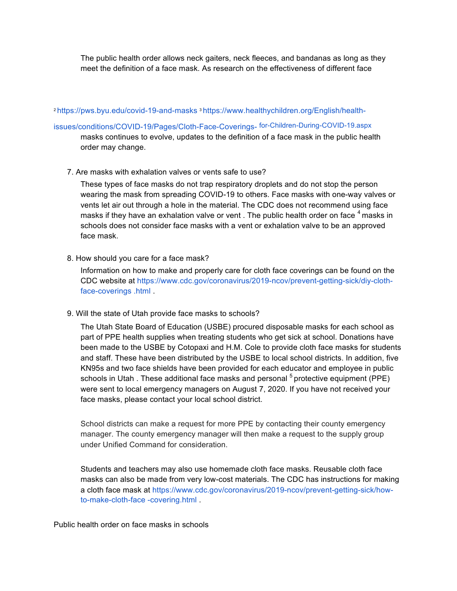The public health order allows neck gaiters, neck fleeces, and bandanas as long as they meet the definition of a face mask. As research on the effectiveness of different face

# 2 https://pws.byu.edu/covid-19-and-masks 3 https://www.healthychildren.org/English/health-

# issues/conditions/COVID-19/Pages/Cloth-Face-Coverings- for-Children-During-COVID-19.aspx

masks continues to evolve, updates to the definition of a face mask in the public health order may change.

7. Are masks with exhalation valves or vents safe to use?

These types of face masks do not trap respiratory droplets and do not stop the person wearing the mask from spreading COVID-19 to others. Face masks with one-way valves or vents let air out through a hole in the material. The CDC does not recommend using face masks if they have an exhalation valve or vent . The public health order on face  $^4$  masks in schools does not consider face masks with a vent or exhalation valve to be an approved face mask.

8. How should you care for a face mask?

Information on how to make and properly care for cloth face coverings can be found on the CDC website at https://www.cdc.gov/coronavirus/2019-ncov/prevent-getting-sick/diy-clothface-coverings .html .

9. Will the state of Utah provide face masks to schools?

The Utah State Board of Education (USBE) procured disposable masks for each school as part of PPE health supplies when treating students who get sick at school. Donations have been made to the USBE by Cotopaxi and H.M. Cole to provide cloth face masks for students and staff. These have been distributed by the USBE to local school districts. In addition, five KN95s and two face shields have been provided for each educator and employee in public schools in Utah. These additional face masks and personal  $5$  protective equipment (PPE) were sent to local emergency managers on August 7, 2020. If you have not received your face masks, please contact your local school district.

School districts can make a request for more PPE by contacting their county emergency manager. The county emergency manager will then make a request to the supply group under Unified Command for consideration.

Students and teachers may also use homemade cloth face masks. Reusable cloth face masks can also be made from very low-cost materials. The CDC has instructions for making a cloth face mask at https://www.cdc.gov/coronavirus/2019-ncov/prevent-getting-sick/howto-make-cloth-face -covering.html .

Public health order on face masks in schools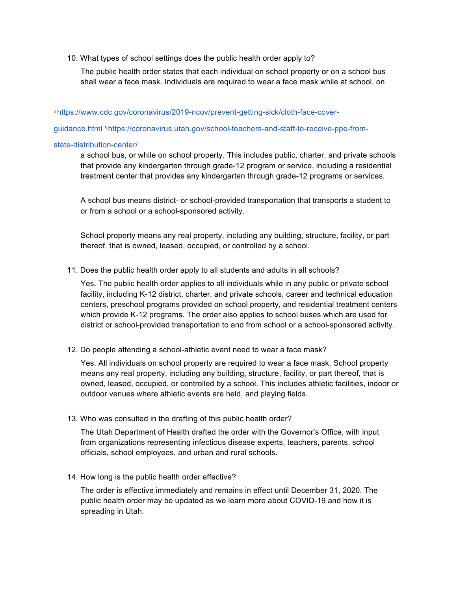10. What types of school settings does the public health order apply to?

The public health order states that each individual on school property or on a school bus shall wear a face mask. Individuals are required to wear a face mask while at school, on

4 https://www.cdc.gov/coronavirus/2019-ncov/prevent-getting-sick/cloth-face-cover-

guidance.html 5 https://coronavirus.utah.gov/school-teachers-and-staff-to-receive-ppe-from-

#### state-distribution-center/

a school bus, or while on school property. This includes public, charter, and private schools that provide any kindergarten through grade-12 program or service, including a residential treatment center that provides any kindergarten through grade-12 programs or services.

A school bus means district- or school-provided transportation that transports a student to or from a school or a school-sponsored activity.

School property means any real property, including any building, structure, facility, or part thereof, that is owned, leased, occupied, or controlled by a school.

11. Does the public health order apply to all students and adults in all schools?

Yes. The public health order applies to all individuals while in any public or private school facility, including K-12 district, charter, and private schools, career and technical education centers, preschool programs provided on school property, and residential treatment centers which provide K-12 programs. The order also applies to school buses which are used for district or school-provided transportation to and from school or a school-sponsored activity.

12. Do people attending a school-athletic event need to wear a face mask?

Yes. All individuals on school property are required to wear a face mask. School property means any real property, including any building, structure, facility, or part thereof, that is owned, leased, occupied, or controlled by a school. This includes athletic facilities, indoor or outdoor venues where athletic events are held, and playing fields.

13. Who was consulted in the drafting of this public health order?

The Utah Department of Health drafted the order with the Governor's Office, with input from organizations representing infectious disease experts, teachers, parents, school officials, school employees, and urban and rural schools.

14. How long is the public health order effective?

The order is effective immediately and remains in effect until December 31, 2020. The public health order may be updated as we learn more about COVID-19 and how it is spreading in Utah.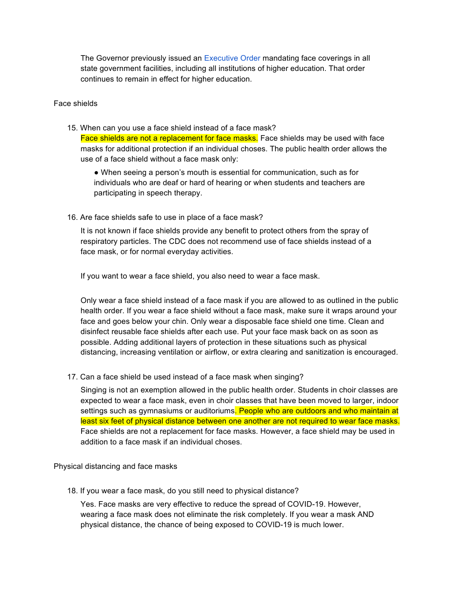The Governor previously issued an Executive Order mandating face coverings in all state government facilities, including all institutions of higher education. That order continues to remain in effect for higher education.

## Face shields

15. When can you use a face shield instead of a face mask? Face shields are not a replacement for face masks. Face shields may be used with face masks for additional protection if an individual choses. The public health order allows the use of a face shield without a face mask only:

● When seeing a person's mouth is essential for communication, such as for individuals who are deaf or hard of hearing or when students and teachers are participating in speech therapy.

16. Are face shields safe to use in place of a face mask?

It is not known if face shields provide any benefit to protect others from the spray of respiratory particles. The CDC does not recommend use of face shields instead of a face mask, or for normal everyday activities.

If you want to wear a face shield, you also need to wear a face mask.

Only wear a face shield instead of a face mask if you are allowed to as outlined in the public health order. If you wear a face shield without a face mask, make sure it wraps around your face and goes below your chin. Only wear a disposable face shield one time. Clean and disinfect reusable face shields after each use. Put your face mask back on as soon as possible. Adding additional layers of protection in these situations such as physical distancing, increasing ventilation or airflow, or extra clearing and sanitization is encouraged.

17. Can a face shield be used instead of a face mask when singing?

Singing is not an exemption allowed in the public health order. Students in choir classes are expected to wear a face mask, even in choir classes that have been moved to larger, indoor settings such as gymnasiums or auditoriums. People who are outdoors and who maintain at least six feet of physical distance between one another are not required to wear face masks. Face shields are not a replacement for face masks. However, a face shield may be used in addition to a face mask if an individual choses.

Physical distancing and face masks

18. If you wear a face mask, do you still need to physical distance?

Yes. Face masks are very effective to reduce the spread of COVID-19. However, wearing a face mask does not eliminate the risk completely. If you wear a mask AND physical distance, the chance of being exposed to COVID-19 is much lower.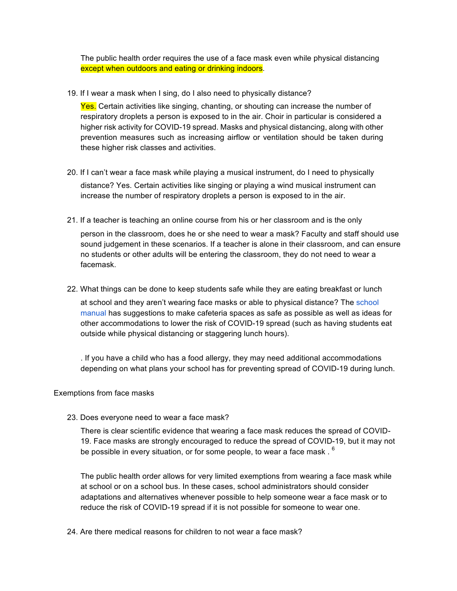The public health order requires the use of a face mask even while physical distancing except when outdoors and eating or drinking indoors.

19. If I wear a mask when I sing, do I also need to physically distance?

**Yes.** Certain activities like singing, chanting, or shouting can increase the number of respiratory droplets a person is exposed to in the air. Choir in particular is considered a higher risk activity for COVID-19 spread. Masks and physical distancing, along with other prevention measures such as increasing airflow or ventilation should be taken during these higher risk classes and activities.

- 20. If I can't wear a face mask while playing a musical instrument, do I need to physically distance? Yes. Certain activities like singing or playing a wind musical instrument can increase the number of respiratory droplets a person is exposed to in the air.
- 21. If a teacher is teaching an online course from his or her classroom and is the only person in the classroom, does he or she need to wear a mask? Faculty and staff should use sound judgement in these scenarios. If a teacher is alone in their classroom, and can ensure no students or other adults will be entering the classroom, they do not need to wear a facemask.
- 22. What things can be done to keep students safe while they are eating breakfast or lunch at school and they aren't wearing face masks or able to physical distance? The school manual has suggestions to make cafeteria spaces as safe as possible as well as ideas for

other accommodations to lower the risk of COVID-19 spread (such as having students eat outside while physical distancing or staggering lunch hours).

. If you have a child who has a food allergy, they may need additional accommodations depending on what plans your school has for preventing spread of COVID-19 during lunch.

## Exemptions from face masks

23. Does everyone need to wear a face mask?

There is clear scientific evidence that wearing a face mask reduces the spread of COVID-19. Face masks are strongly encouraged to reduce the spread of COVID-19, but it may not be possible in every situation, or for some people, to wear a face mask  $.6$ 

The public health order allows for very limited exemptions from wearing a face mask while at school or on a school bus. In these cases, school administrators should consider adaptations and alternatives whenever possible to help someone wear a face mask or to reduce the risk of COVID-19 spread if it is not possible for someone to wear one.

24. Are there medical reasons for children to not wear a face mask?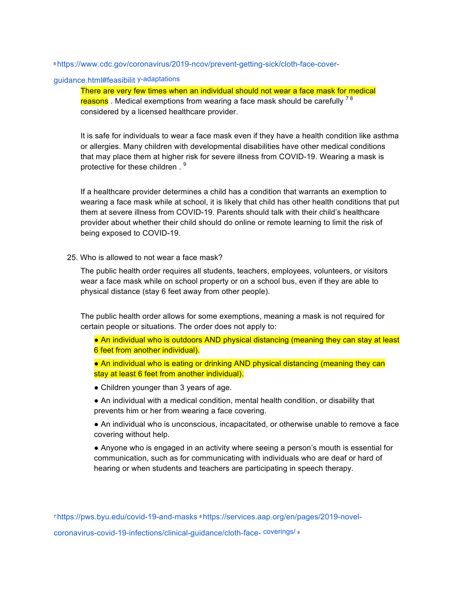6 https://www.cdc.gov/coronavirus/2019-ncov/prevent-getting-sick/cloth-face-cover-

# guidance.html#feasibilit y-adaptations

There are very few times when an individual should not wear a face mask for medical reasons. Medical exemptions from wearing a face mask should be carefully <sup>78</sup> considered by a licensed healthcare provider.

It is safe for individuals to wear a face mask even if they have a health condition like asthma or allergies. Many children with developmental disabilities have other medical conditions that may place them at higher risk for severe illness from COVID-19. Wearing a mask is protective for these children.<sup>9</sup>

If a healthcare provider determines a child has a condition that warrants an exemption to wearing a face mask while at school, it is likely that child has other health conditions that put them at severe illness from COVID-19. Parents should talk with their child's healthcare provider about whether their child should do online or remote learning to limit the risk of being exposed to COVID-19.

#### 25. Who is allowed to not wear a face mask?

The public health order requires all students, teachers, employees, volunteers, or visitors wear a face mask while on school property or on a school bus, even if they are able to physical distance (stay 6 feet away from other people).

The public health order allows for some exemptions, meaning a mask is not required for certain people or situations. The order does not apply to:

● An individual who is outdoors AND physical distancing (meaning they can stay at least 6 feet from another individual).

● An individual who is eating or drinking AND physical distancing (meaning they can stay at least 6 feet from another individual).

- Children younger than 3 years of age.
- An individual with a medical condition, mental health condition, or disability that prevents him or her from wearing a face covering.

● An individual who is unconscious, incapacitated, or otherwise unable to remove a face covering without help.

● Anyone who is engaged in an activity where seeing a person's mouth is essential for communication, such as for communicating with individuals who are deaf or hard of hearing or when students and teachers are participating in speech therapy.

7 https://pws.byu.edu/covid-19-and-masks 8 https://services.aap.org/en/pages/2019-novel-

coronavirus-covid-19-infections/clinical-guidance/cloth-face- coverings/ 9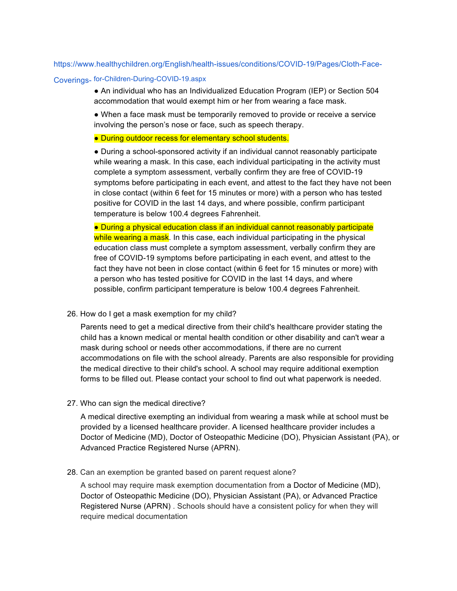## https://www.healthychildren.org/English/health-issues/conditions/COVID-19/Pages/Cloth-Face-

# Coverings- for-Children-During-COVID-19.aspx

● An individual who has an Individualized Education Program (IEP) or Section 504 accommodation that would exempt him or her from wearing a face mask.

● When a face mask must be temporarily removed to provide or receive a service involving the person's nose or face, such as speech therapy.

● During outdoor recess for elementary school students.

● During a school-sponsored activity if an individual cannot reasonably participate while wearing a mask. In this case, each individual participating in the activity must complete a symptom assessment, verbally confirm they are free of COVID-19 symptoms before participating in each event, and attest to the fact they have not been in close contact (within 6 feet for 15 minutes or more) with a person who has tested positive for COVID in the last 14 days, and where possible, confirm participant temperature is below 100.4 degrees Fahrenheit.

● During a physical education class if an individual cannot reasonably participate while wearing a mask. In this case, each individual participating in the physical education class must complete a symptom assessment, verbally confirm they are free of COVID-19 symptoms before participating in each event, and attest to the fact they have not been in close contact (within 6 feet for 15 minutes or more) with a person who has tested positive for COVID in the last 14 days, and where possible, confirm participant temperature is below 100.4 degrees Fahrenheit.

#### 26. How do I get a mask exemption for my child?

Parents need to get a medical directive from their child's healthcare provider stating the child has a known medical or mental health condition or other disability and can't wear a mask during school or needs other accommodations, if there are no current accommodations on file with the school already. Parents are also responsible for providing the medical directive to their child's school. A school may require additional exemption forms to be filled out. Please contact your school to find out what paperwork is needed.

27. Who can sign the medical directive?

A medical directive exempting an individual from wearing a mask while at school must be provided by a licensed healthcare provider. A licensed healthcare provider includes a Doctor of Medicine (MD), Doctor of Osteopathic Medicine (DO), Physician Assistant (PA), or Advanced Practice Registered Nurse (APRN).

28. Can an exemption be granted based on parent request alone?

A school may require mask exemption documentation from a Doctor of Medicine (MD), Doctor of Osteopathic Medicine (DO), Physician Assistant (PA), or Advanced Practice Registered Nurse (APRN) . Schools should have a consistent policy for when they will require medical documentation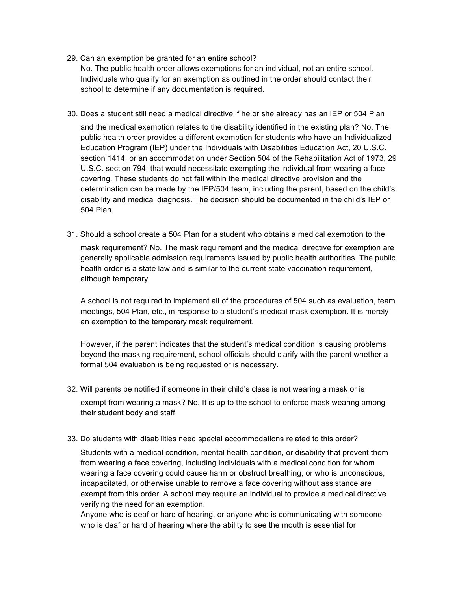29. Can an exemption be granted for an entire school?

No. The public health order allows exemptions for an individual, not an entire school. Individuals who qualify for an exemption as outlined in the order should contact their school to determine if any documentation is required.

30. Does a student still need a medical directive if he or she already has an IEP or 504 Plan

and the medical exemption relates to the disability identified in the existing plan? No. The public health order provides a different exemption for students who have an Individualized Education Program (IEP) under the Individuals with Disabilities Education Act, 20 U.S.C. section 1414, or an accommodation under Section 504 of the Rehabilitation Act of 1973, 29 U.S.C. section 794, that would necessitate exempting the individual from wearing a face covering. These students do not fall within the medical directive provision and the determination can be made by the IEP/504 team, including the parent, based on the child's disability and medical diagnosis. The decision should be documented in the child's IEP or 504 Plan.

31. Should a school create a 504 Plan for a student who obtains a medical exemption to the mask requirement? No. The mask requirement and the medical directive for exemption are generally applicable admission requirements issued by public health authorities. The public health order is a state law and is similar to the current state vaccination requirement, although temporary.

A school is not required to implement all of the procedures of 504 such as evaluation, team meetings, 504 Plan, etc., in response to a student's medical mask exemption. It is merely an exemption to the temporary mask requirement.

However, if the parent indicates that the student's medical condition is causing problems beyond the masking requirement, school officials should clarify with the parent whether a formal 504 evaluation is being requested or is necessary.

- 32. Will parents be notified if someone in their child's class is not wearing a mask or is exempt from wearing a mask? No. It is up to the school to enforce mask wearing among their student body and staff.
- 33. Do students with disabilities need special accommodations related to this order?

Students with a medical condition, mental health condition, or disability that prevent them from wearing a face covering, including individuals with a medical condition for whom wearing a face covering could cause harm or obstruct breathing, or who is unconscious, incapacitated, or otherwise unable to remove a face covering without assistance are exempt from this order. A school may require an individual to provide a medical directive verifying the need for an exemption.

Anyone who is deaf or hard of hearing, or anyone who is communicating with someone who is deaf or hard of hearing where the ability to see the mouth is essential for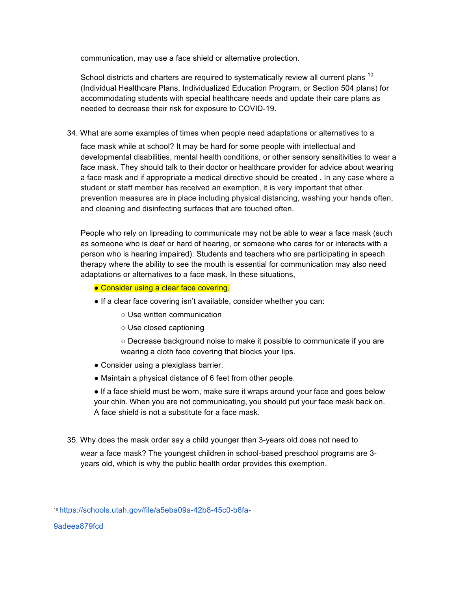communication, may use a face shield or alternative protection.

School districts and charters are required to systematically review all current plans  $10$ (Individual Healthcare Plans, Individualized Education Program, or Section 504 plans) for accommodating students with special healthcare needs and update their care plans as needed to decrease their risk for exposure to COVID-19.

34. What are some examples of times when people need adaptations or alternatives to a

face mask while at school? It may be hard for some people with intellectual and developmental disabilities, mental health conditions, or other sensory sensitivities to wear a face mask. They should talk to their doctor or healthcare provider for advice about wearing a face mask and if appropriate a medical directive should be created . In any case where a student or staff member has received an exemption, it is very important that other prevention measures are in place including physical distancing, washing your hands often, and cleaning and disinfecting surfaces that are touched often.

People who rely on lipreading to communicate may not be able to wear a face mask (such as someone who is deaf or hard of hearing, or someone who cares for or interacts with a person who is hearing impaired). Students and teachers who are participating in speech therapy where the ability to see the mouth is essential for communication may also need adaptations or alternatives to a face mask. In these situations,

- Consider using a clear face covering.
- If a clear face covering isn't available, consider whether you can:
	- Use written communication
	- Use closed captioning
	- Decrease background noise to make it possible to communicate if you are wearing a cloth face covering that blocks your lips.
- Consider using a plexiglass barrier.
- Maintain a physical distance of 6 feet from other people.

● If a face shield must be worn, make sure it wraps around your face and goes below your chin. When you are not communicating, you should put your face mask back on. A face shield is not a substitute for a face mask.

35. Why does the mask order say a child younger than 3-years old does not need to

wear a face mask? The youngest children in school-based preschool programs are 3 years old, which is why the public health order provides this exemption.

9adeea879fcd

<sup>10</sup> https://schools.utah.gov/file/a5eba09a-42b8-45c0-b8fa-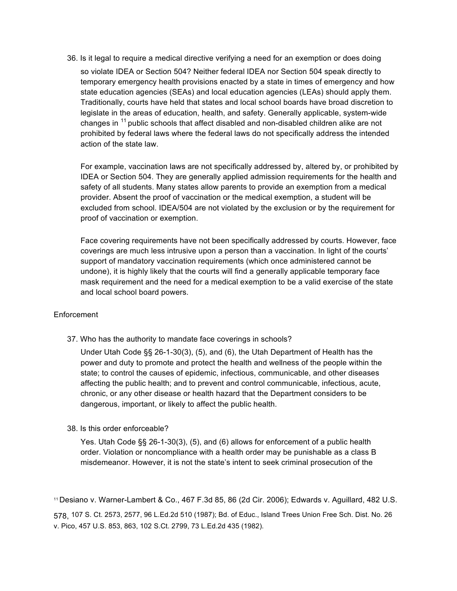36. Is it legal to require a medical directive verifying a need for an exemption or does doing so violate IDEA or Section 504? Neither federal IDEA nor Section 504 speak directly to temporary emergency health provisions enacted by a state in times of emergency and how state education agencies (SEAs) and local education agencies (LEAs) should apply them. Traditionally, courts have held that states and local school boards have broad discretion to legislate in the areas of education, health, and safety. Generally applicable, system-wide changes in <sup>11</sup> public schools that affect disabled and non-disabled children alike are not prohibited by federal laws where the federal laws do not specifically address the intended action of the state law.

For example, vaccination laws are not specifically addressed by, altered by, or prohibited by IDEA or Section 504. They are generally applied admission requirements for the health and safety of all students. Many states allow parents to provide an exemption from a medical provider. Absent the proof of vaccination or the medical exemption, a student will be excluded from school. IDEA/504 are not violated by the exclusion or by the requirement for proof of vaccination or exemption.

Face covering requirements have not been specifically addressed by courts. However, face coverings are much less intrusive upon a person than a vaccination. In light of the courts' support of mandatory vaccination requirements (which once administered cannot be undone), it is highly likely that the courts will find a generally applicable temporary face mask requirement and the need for a medical exemption to be a valid exercise of the state and local school board powers.

## Enforcement

37. Who has the authority to mandate face coverings in schools?

Under Utah Code §§ 26-1-30(3), (5), and (6), the Utah Department of Health has the power and duty to promote and protect the health and wellness of the people within the state; to control the causes of epidemic, infectious, communicable, and other diseases affecting the public health; and to prevent and control communicable, infectious, acute, chronic, or any other disease or health hazard that the Department considers to be dangerous, important, or likely to affect the public health.

## 38. Is this order enforceable?

Yes. Utah Code §§ 26-1-30(3), (5), and (6) allows for enforcement of a public health order. Violation or noncompliance with a health order may be punishable as a class B misdemeanor. However, it is not the state's intent to seek criminal prosecution of the

11 Desiano v. Warner-Lambert & Co., 467 F.3d 85, 86 (2d Cir. 2006); Edwards v. Aguillard, 482 U.S.

578, 107 S. Ct. 2573, 2577, 96 L.Ed.2d 510 (1987); Bd. of Educ., Island Trees Union Free Sch. Dist. No. 26 v. Pico, 457 U.S. 853, 863, 102 S.Ct. 2799, 73 L.Ed.2d 435 (1982).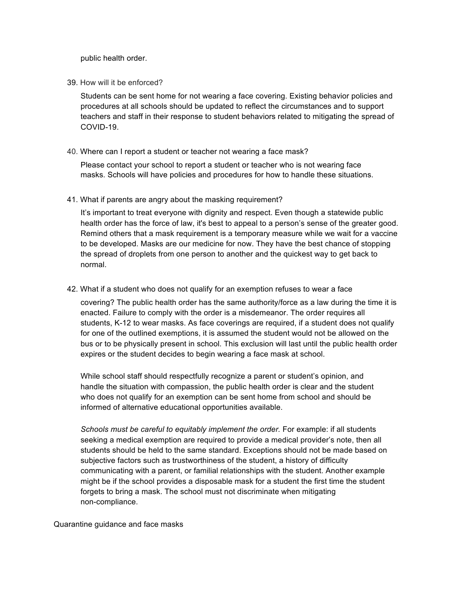public health order.

39. How will it be enforced?

Students can be sent home for not wearing a face covering. Existing behavior policies and procedures at all schools should be updated to reflect the circumstances and to support teachers and staff in their response to student behaviors related to mitigating the spread of COVID-19.

40. Where can I report a student or teacher not wearing a face mask?

Please contact your school to report a student or teacher who is not wearing face masks. Schools will have policies and procedures for how to handle these situations.

41. What if parents are angry about the masking requirement?

It's important to treat everyone with dignity and respect. Even though a statewide public health order has the force of law, it's best to appeal to a person's sense of the greater good. Remind others that a mask requirement is a temporary measure while we wait for a vaccine to be developed. Masks are our medicine for now. They have the best chance of stopping the spread of droplets from one person to another and the quickest way to get back to normal.

42. What if a student who does not qualify for an exemption refuses to wear a face

covering? The public health order has the same authority/force as a law during the time it is enacted. Failure to comply with the order is a misdemeanor. The order requires all students, K-12 to wear masks. As face coverings are required, if a student does not qualify for one of the outlined exemptions, it is assumed the student would not be allowed on the bus or to be physically present in school. This exclusion will last until the public health order expires or the student decides to begin wearing a face mask at school.

While school staff should respectfully recognize a parent or student's opinion, and handle the situation with compassion, the public health order is clear and the student who does not qualify for an exemption can be sent home from school and should be informed of alternative educational opportunities available.

*Schools must be careful to equitably implement the order.* For example: if all students seeking a medical exemption are required to provide a medical provider's note, then all students should be held to the same standard. Exceptions should not be made based on subjective factors such as trustworthiness of the student, a history of difficulty communicating with a parent, or familial relationships with the student. Another example might be if the school provides a disposable mask for a student the first time the student forgets to bring a mask. The school must not discriminate when mitigating non-compliance.

Quarantine guidance and face masks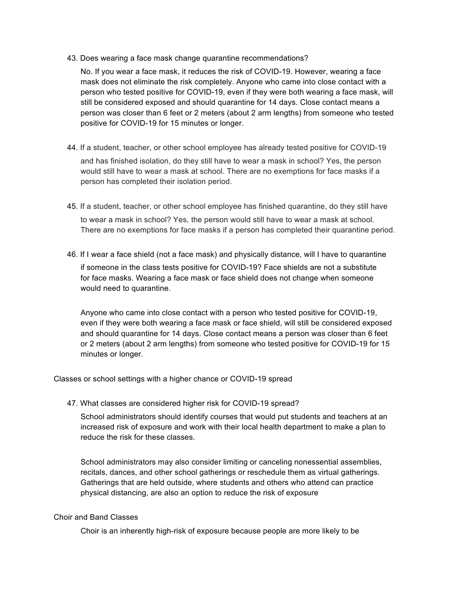43. Does wearing a face mask change quarantine recommendations?

No. If you wear a face mask, it reduces the risk of COVID-19. However, wearing a face mask does not eliminate the risk completely. Anyone who came into close contact with a person who tested positive for COVID-19, even if they were both wearing a face mask, will still be considered exposed and should quarantine for 14 days. Close contact means a person was closer than 6 feet or 2 meters (about 2 arm lengths) from someone who tested positive for COVID-19 for 15 minutes or longer.

- 44. If a student, teacher, or other school employee has already tested positive for COVID-19 and has finished isolation, do they still have to wear a mask in school? Yes, the person would still have to wear a mask at school. There are no exemptions for face masks if a person has completed their isolation period.
- 45. If a student, teacher, or other school employee has finished quarantine, do they still have to wear a mask in school? Yes, the person would still have to wear a mask at school. There are no exemptions for face masks if a person has completed their quarantine period.
- 46. If I wear a face shield (not a face mask) and physically distance, will I have to quarantine if someone in the class tests positive for COVID-19? Face shields are not a substitute for face masks. Wearing a face mask or face shield does not change when someone would need to quarantine.

Anyone who came into close contact with a person who tested positive for COVID-19, even if they were both wearing a face mask or face shield, will still be considered exposed and should quarantine for 14 days. Close contact means a person was closer than 6 feet or 2 meters (about 2 arm lengths) from someone who tested positive for COVID-19 for 15 minutes or longer.

Classes or school settings with a higher chance or COVID-19 spread

47. What classes are considered higher risk for COVID-19 spread?

School administrators should identify courses that would put students and teachers at an increased risk of exposure and work with their local health department to make a plan to reduce the risk for these classes.

School administrators may also consider limiting or canceling nonessential assemblies, recitals, dances, and other school gatherings or reschedule them as virtual gatherings. Gatherings that are held outside, where students and others who attend can practice physical distancing, are also an option to reduce the risk of exposure

## Choir and Band Classes

Choir is an inherently high-risk of exposure because people are more likely to be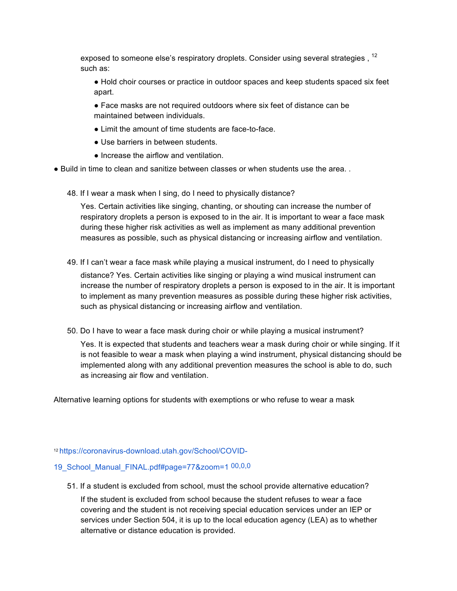exposed to someone else's respiratory droplets. Consider using several strategies, <sup>12</sup> such as:

● Hold choir courses or practice in outdoor spaces and keep students spaced six feet apart.

● Face masks are not required outdoors where six feet of distance can be maintained between individuals.

- Limit the amount of time students are face-to-face.
- Use barriers in between students.
- Increase the airflow and ventilation.
- Build in time to clean and sanitize between classes or when students use the area. .
	- 48. If I wear a mask when I sing, do I need to physically distance?

Yes. Certain activities like singing, chanting, or shouting can increase the number of respiratory droplets a person is exposed to in the air. It is important to wear a face mask during these higher risk activities as well as implement as many additional prevention measures as possible, such as physical distancing or increasing airflow and ventilation.

49. If I can't wear a face mask while playing a musical instrument, do I need to physically

distance? Yes. Certain activities like singing or playing a wind musical instrument can increase the number of respiratory droplets a person is exposed to in the air. It is important to implement as many prevention measures as possible during these higher risk activities, such as physical distancing or increasing airflow and ventilation.

50. Do I have to wear a face mask during choir or while playing a musical instrument?

Yes. It is expected that students and teachers wear a mask during choir or while singing. If it is not feasible to wear a mask when playing a wind instrument, physical distancing should be implemented along with any additional prevention measures the school is able to do, such as increasing air flow and ventilation.

Alternative learning options for students with exemptions or who refuse to wear a mask

## 12 https://coronavirus-download.utah.gov/School/COVID-

# 19\_School\_Manual\_FINAL.pdf#page=77&zoom=1 00,0,0

51. If a student is excluded from school, must the school provide alternative education?

If the student is excluded from school because the student refuses to wear a face covering and the student is not receiving special education services under an IEP or services under Section 504, it is up to the local education agency (LEA) as to whether alternative or distance education is provided.